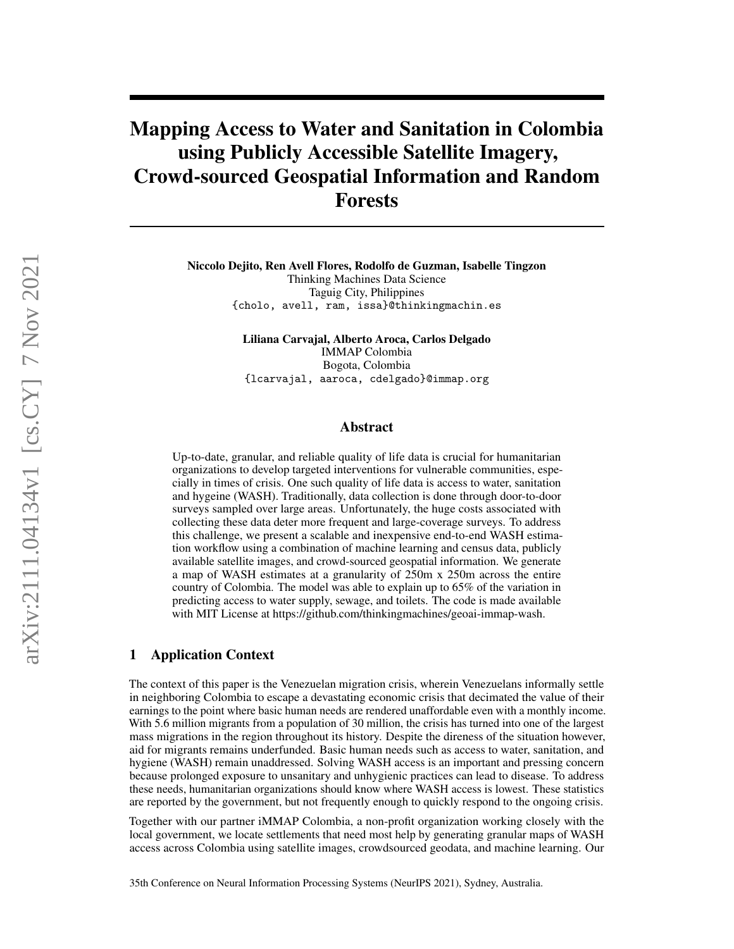# Mapping Access to Water and Sanitation in Colombia using Publicly Accessible Satellite Imagery, Crowd-sourced Geospatial Information and Random Forests

Niccolo Dejito, Ren Avell Flores, Rodolfo de Guzman, Isabelle Tingzon Thinking Machines Data Science Taguig City, Philippines {cholo, avell, ram, issa}@thinkingmachin.es

> Liliana Carvajal, Alberto Aroca, Carlos Delgado IMMAP Colombia Bogota, Colombia {lcarvajal, aaroca, cdelgado}@immap.org

#### Abstract

Up-to-date, granular, and reliable quality of life data is crucial for humanitarian organizations to develop targeted interventions for vulnerable communities, especially in times of crisis. One such quality of life data is access to water, sanitation and hygeine (WASH). Traditionally, data collection is done through door-to-door surveys sampled over large areas. Unfortunately, the huge costs associated with collecting these data deter more frequent and large-coverage surveys. To address this challenge, we present a scalable and inexpensive end-to-end WASH estimation workflow using a combination of machine learning and census data, publicly available satellite images, and crowd-sourced geospatial information. We generate a map of WASH estimates at a granularity of 250m x 250m across the entire country of Colombia. The model was able to explain up to 65% of the variation in predicting access to water supply, sewage, and toilets. The code is made available with MIT License at https://github.com/thinkingmachines/geoai-immap-wash.

## 1 Application Context

The context of this paper is the Venezuelan migration crisis, wherein Venezuelans informally settle in neighboring Colombia to escape a devastating economic crisis that decimated the value of their earnings to the point where basic human needs are rendered unaffordable even with a monthly income. With 5.6 million migrants from a population of 30 million, the crisis has turned into one of the largest mass migrations in the region throughout its history. Despite the direness of the situation however, aid for migrants remains underfunded. Basic human needs such as access to water, sanitation, and hygiene (WASH) remain unaddressed. Solving WASH access is an important and pressing concern because prolonged exposure to unsanitary and unhygienic practices can lead to disease. To address these needs, humanitarian organizations should know where WASH access is lowest. These statistics are reported by the government, but not frequently enough to quickly respond to the ongoing crisis.

Together with our partner iMMAP Colombia, a non-profit organization working closely with the local government, we locate settlements that need most help by generating granular maps of WASH access across Colombia using satellite images, crowdsourced geodata, and machine learning. Our

arXiv:2111.04134v1 [cs.CY] 7 Nov 2021 arXiv:2111.04134v1 [cs.CY] 7 Nov 2021

35th Conference on Neural Information Processing Systems (NeurIPS 2021), Sydney, Australia.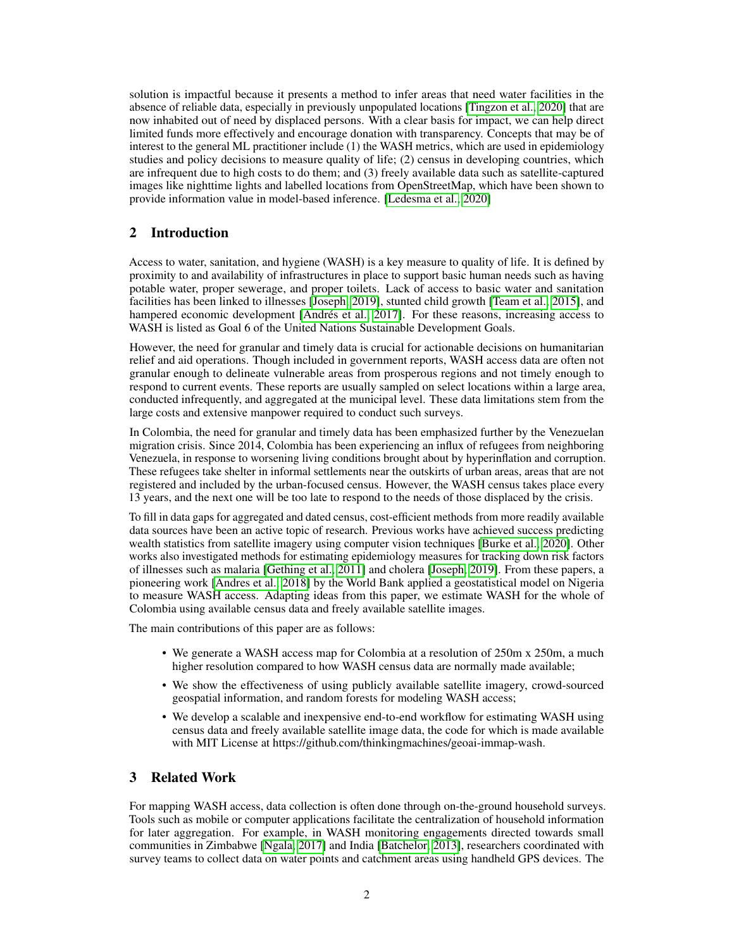solution is impactful because it presents a method to infer areas that need water facilities in the absence of reliable data, especially in previously unpopulated locations [\[Tingzon et al., 2020\]](#page-5-0) that are now inhabited out of need by displaced persons. With a clear basis for impact, we can help direct limited funds more effectively and encourage donation with transparency. Concepts that may be of interest to the general ML practitioner include (1) the WASH metrics, which are used in epidemiology studies and policy decisions to measure quality of life; (2) census in developing countries, which are infrequent due to high costs to do them; and (3) freely available data such as satellite-captured images like nighttime lights and labelled locations from OpenStreetMap, which have been shown to provide information value in model-based inference. [\[Ledesma et al., 2020\]](#page-5-1)

# 2 Introduction

Access to water, sanitation, and hygiene (WASH) is a key measure to quality of life. It is defined by proximity to and availability of infrastructures in place to support basic human needs such as having potable water, proper sewerage, and proper toilets. Lack of access to basic water and sanitation facilities has been linked to illnesses [\[Joseph, 2019\]](#page-5-2), stunted child growth [\[Team et al., 2015\]](#page-5-3), and hampered economic development [\[Andrés et al., 2017\]](#page-5-4). For these reasons, increasing access to WASH is listed as Goal 6 of the United Nations Sustainable Development Goals.

However, the need for granular and timely data is crucial for actionable decisions on humanitarian relief and aid operations. Though included in government reports, WASH access data are often not granular enough to delineate vulnerable areas from prosperous regions and not timely enough to respond to current events. These reports are usually sampled on select locations within a large area, conducted infrequently, and aggregated at the municipal level. These data limitations stem from the large costs and extensive manpower required to conduct such surveys.

In Colombia, the need for granular and timely data has been emphasized further by the Venezuelan migration crisis. Since 2014, Colombia has been experiencing an influx of refugees from neighboring Venezuela, in response to worsening living conditions brought about by hyperinflation and corruption. These refugees take shelter in informal settlements near the outskirts of urban areas, areas that are not registered and included by the urban-focused census. However, the WASH census takes place every 13 years, and the next one will be too late to respond to the needs of those displaced by the crisis.

To fill in data gaps for aggregated and dated census, cost-efficient methods from more readily available data sources have been an active topic of research. Previous works have achieved success predicting wealth statistics from satellite imagery using computer vision techniques [\[Burke et al., 2020\]](#page-5-5). Other works also investigated methods for estimating epidemiology measures for tracking down risk factors of illnesses such as malaria [\[Gething et al., 2011\]](#page-5-6) and cholera [\[Joseph, 2019\]](#page-5-2). From these papers, a pioneering work [\[Andres et al., 2018\]](#page-5-7) by the World Bank applied a geostatistical model on Nigeria to measure WASH access. Adapting ideas from this paper, we estimate WASH for the whole of Colombia using available census data and freely available satellite images.

The main contributions of this paper are as follows:

- We generate a WASH access map for Colombia at a resolution of 250m x 250m, a much higher resolution compared to how WASH census data are normally made available;
- We show the effectiveness of using publicly available satellite imagery, crowd-sourced geospatial information, and random forests for modeling WASH access;
- We develop a scalable and inexpensive end-to-end workflow for estimating WASH using census data and freely available satellite image data, the code for which is made available with MIT License at https://github.com/thinkingmachines/geoai-immap-wash.

# 3 Related Work

For mapping WASH access, data collection is often done through on-the-ground household surveys. Tools such as mobile or computer applications facilitate the centralization of household information for later aggregation. For example, in WASH monitoring engagements directed towards small communities in Zimbabwe [\[Ngala, 2017\]](#page-5-8) and India [\[Batchelor, 2013\]](#page-5-9), researchers coordinated with survey teams to collect data on water points and catchment areas using handheld GPS devices. The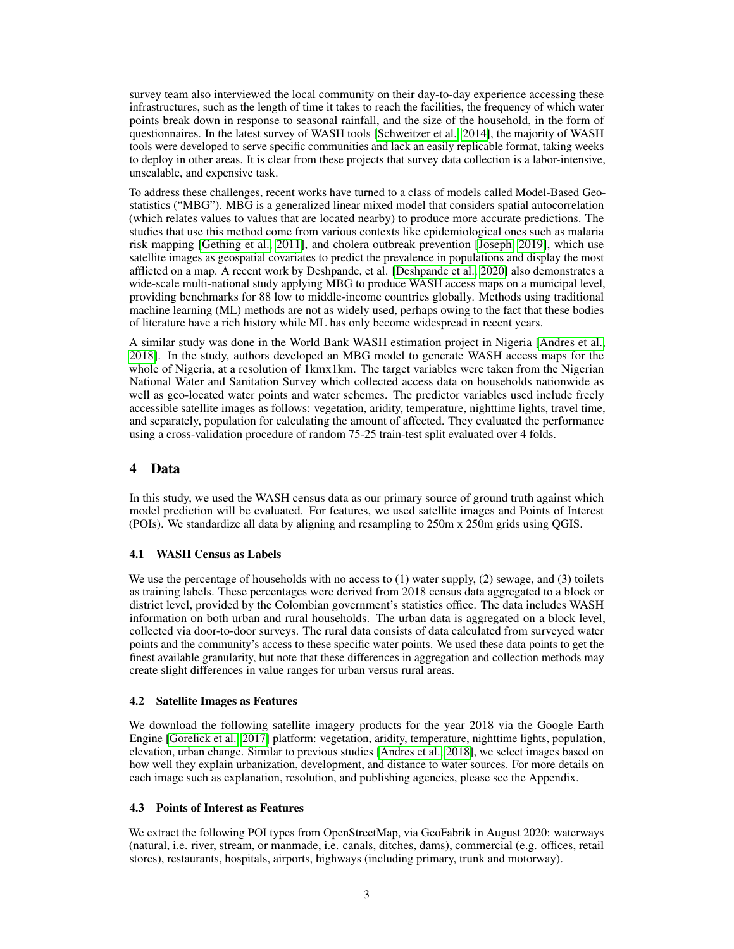survey team also interviewed the local community on their day-to-day experience accessing these infrastructures, such as the length of time it takes to reach the facilities, the frequency of which water points break down in response to seasonal rainfall, and the size of the household, in the form of questionnaires. In the latest survey of WASH tools [\[Schweitzer et al., 2014\]](#page-5-10), the majority of WASH tools were developed to serve specific communities and lack an easily replicable format, taking weeks to deploy in other areas. It is clear from these projects that survey data collection is a labor-intensive, unscalable, and expensive task.

To address these challenges, recent works have turned to a class of models called Model-Based Geostatistics ("MBG"). MBG is a generalized linear mixed model that considers spatial autocorrelation (which relates values to values that are located nearby) to produce more accurate predictions. The studies that use this method come from various contexts like epidemiological ones such as malaria risk mapping [\[Gething et al., 2011\]](#page-5-6), and cholera outbreak prevention [\[Joseph, 2019\]](#page-5-2), which use satellite images as geospatial covariates to predict the prevalence in populations and display the most afflicted on a map. A recent work by Deshpande, et al. [\[Deshpande et al., 2020\]](#page-5-11) also demonstrates a wide-scale multi-national study applying MBG to produce WASH access maps on a municipal level, providing benchmarks for 88 low to middle-income countries globally. Methods using traditional machine learning (ML) methods are not as widely used, perhaps owing to the fact that these bodies of literature have a rich history while ML has only become widespread in recent years.

A similar study was done in the World Bank WASH estimation project in Nigeria [\[Andres et al.,](#page-5-7) [2018\]](#page-5-7). In the study, authors developed an MBG model to generate WASH access maps for the whole of Nigeria, at a resolution of 1kmx1km. The target variables were taken from the Nigerian National Water and Sanitation Survey which collected access data on households nationwide as well as geo-located water points and water schemes. The predictor variables used include freely accessible satellite images as follows: vegetation, aridity, temperature, nighttime lights, travel time, and separately, population for calculating the amount of affected. They evaluated the performance using a cross-validation procedure of random 75-25 train-test split evaluated over 4 folds.

# 4 Data

In this study, we used the WASH census data as our primary source of ground truth against which model prediction will be evaluated. For features, we used satellite images and Points of Interest (POIs). We standardize all data by aligning and resampling to 250m x 250m grids using QGIS.

## 4.1 WASH Census as Labels

We use the percentage of households with no access to (1) water supply, (2) sewage, and (3) toilets as training labels. These percentages were derived from 2018 census data aggregated to a block or district level, provided by the Colombian government's statistics office. The data includes WASH information on both urban and rural households. The urban data is aggregated on a block level, collected via door-to-door surveys. The rural data consists of data calculated from surveyed water points and the community's access to these specific water points. We used these data points to get the finest available granularity, but note that these differences in aggregation and collection methods may create slight differences in value ranges for urban versus rural areas.

## 4.2 Satellite Images as Features

We download the following satellite imagery products for the year 2018 via the Google Earth Engine [\[Gorelick et al., 2017\]](#page-5-12) platform: vegetation, aridity, temperature, nighttime lights, population, elevation, urban change. Similar to previous studies [\[Andres et al., 2018\]](#page-5-7), we select images based on how well they explain urbanization, development, and distance to water sources. For more details on each image such as explanation, resolution, and publishing agencies, please see the Appendix.

## 4.3 Points of Interest as Features

We extract the following POI types from OpenStreetMap, via GeoFabrik in August 2020: waterways (natural, i.e. river, stream, or manmade, i.e. canals, ditches, dams), commercial (e.g. offices, retail stores), restaurants, hospitals, airports, highways (including primary, trunk and motorway).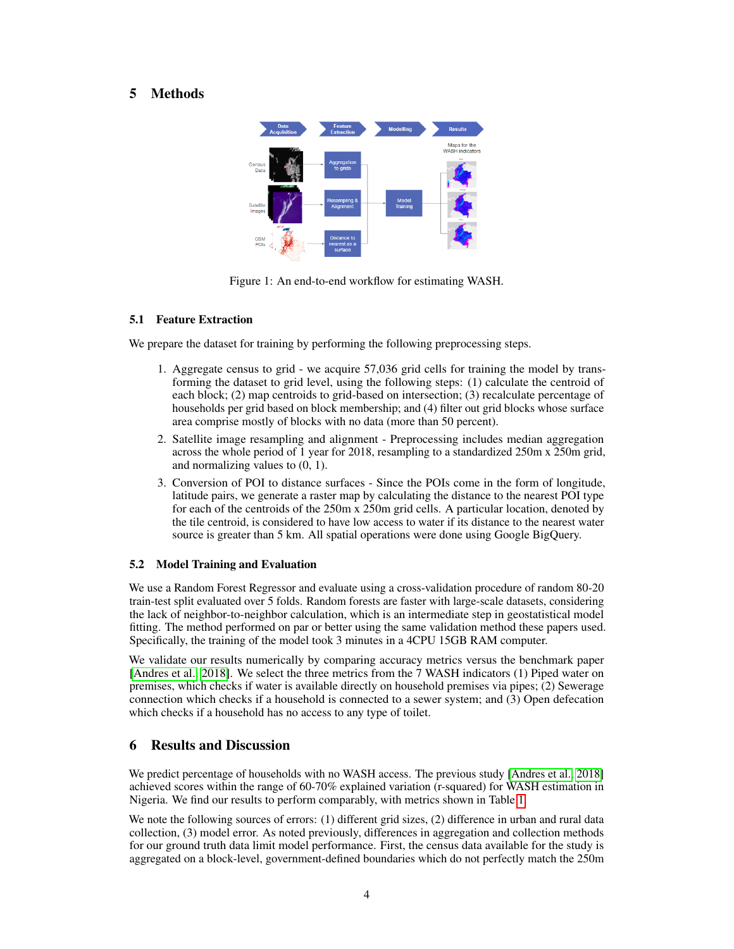# 5 Methods



Figure 1: An end-to-end workflow for estimating WASH.

#### 5.1 Feature Extraction

We prepare the dataset for training by performing the following preprocessing steps.

- 1. Aggregate census to grid we acquire 57,036 grid cells for training the model by transforming the dataset to grid level, using the following steps: (1) calculate the centroid of each block; (2) map centroids to grid-based on intersection; (3) recalculate percentage of households per grid based on block membership; and (4) filter out grid blocks whose surface area comprise mostly of blocks with no data (more than 50 percent).
- 2. Satellite image resampling and alignment Preprocessing includes median aggregation across the whole period of 1 year for 2018, resampling to a standardized 250m x 250m grid, and normalizing values to (0, 1).
- 3. Conversion of POI to distance surfaces Since the POIs come in the form of longitude, latitude pairs, we generate a raster map by calculating the distance to the nearest POI type for each of the centroids of the 250m x 250m grid cells. A particular location, denoted by the tile centroid, is considered to have low access to water if its distance to the nearest water source is greater than 5 km. All spatial operations were done using Google BigQuery.

#### 5.2 Model Training and Evaluation

We use a Random Forest Regressor and evaluate using a cross-validation procedure of random 80-20 train-test split evaluated over 5 folds. Random forests are faster with large-scale datasets, considering the lack of neighbor-to-neighbor calculation, which is an intermediate step in geostatistical model fitting. The method performed on par or better using the same validation method these papers used. Specifically, the training of the model took 3 minutes in a 4CPU 15GB RAM computer.

We validate our results numerically by comparing accuracy metrics versus the benchmark paper [\[Andres et al., 2018\]](#page-5-7). We select the three metrics from the 7 WASH indicators (1) Piped water on premises, which checks if water is available directly on household premises via pipes; (2) Sewerage connection which checks if a household is connected to a sewer system; and (3) Open defecation which checks if a household has no access to any type of toilet.

# 6 Results and Discussion

We predict percentage of households with no WASH access. The previous study [\[Andres et al., 2018\]](#page-5-7) achieved scores within the range of 60-70% explained variation (r-squared) for WASH estimation in Nigeria. We find our results to perform comparably, with metrics shown in Table [1.](#page-4-0)

We note the following sources of errors: (1) different grid sizes, (2) difference in urban and rural data collection, (3) model error. As noted previously, differences in aggregation and collection methods for our ground truth data limit model performance. First, the census data available for the study is aggregated on a block-level, government-defined boundaries which do not perfectly match the 250m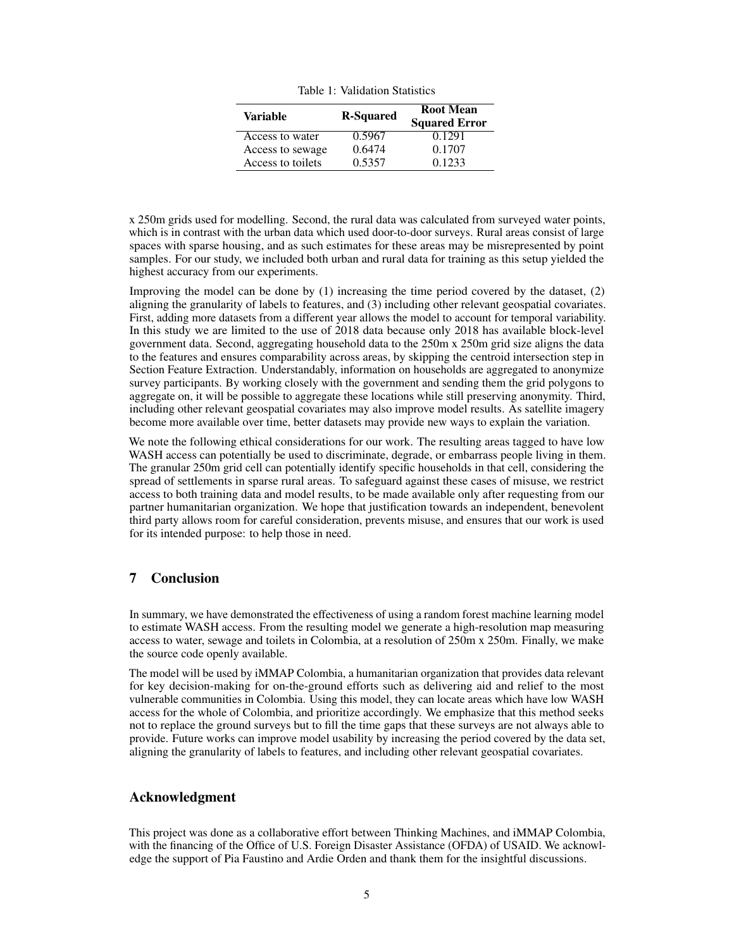<span id="page-4-0"></span>

| Variable          | <b>R-Squared</b> | <b>Root Mean</b><br><b>Squared Error</b> |
|-------------------|------------------|------------------------------------------|
| Access to water   | 0.5967           | 0.1291                                   |
| Access to sewage  | 0.6474           | 0.1707                                   |
| Access to toilets | 0.5357           | 0.1233                                   |

x 250m grids used for modelling. Second, the rural data was calculated from surveyed water points, which is in contrast with the urban data which used door-to-door surveys. Rural areas consist of large spaces with sparse housing, and as such estimates for these areas may be misrepresented by point samples. For our study, we included both urban and rural data for training as this setup yielded the highest accuracy from our experiments.

Improving the model can be done by (1) increasing the time period covered by the dataset, (2) aligning the granularity of labels to features, and (3) including other relevant geospatial covariates. First, adding more datasets from a different year allows the model to account for temporal variability. In this study we are limited to the use of 2018 data because only 2018 has available block-level government data. Second, aggregating household data to the 250m x 250m grid size aligns the data to the features and ensures comparability across areas, by skipping the centroid intersection step in Section Feature Extraction. Understandably, information on households are aggregated to anonymize survey participants. By working closely with the government and sending them the grid polygons to aggregate on, it will be possible to aggregate these locations while still preserving anonymity. Third, including other relevant geospatial covariates may also improve model results. As satellite imagery become more available over time, better datasets may provide new ways to explain the variation.

We note the following ethical considerations for our work. The resulting areas tagged to have low WASH access can potentially be used to discriminate, degrade, or embarrass people living in them. The granular 250m grid cell can potentially identify specific households in that cell, considering the spread of settlements in sparse rural areas. To safeguard against these cases of misuse, we restrict access to both training data and model results, to be made available only after requesting from our partner humanitarian organization. We hope that justification towards an independent, benevolent third party allows room for careful consideration, prevents misuse, and ensures that our work is used for its intended purpose: to help those in need.

## 7 Conclusion

In summary, we have demonstrated the effectiveness of using a random forest machine learning model to estimate WASH access. From the resulting model we generate a high-resolution map measuring access to water, sewage and toilets in Colombia, at a resolution of 250m x 250m. Finally, we make the source code openly available.

The model will be used by iMMAP Colombia, a humanitarian organization that provides data relevant for key decision-making for on-the-ground efforts such as delivering aid and relief to the most vulnerable communities in Colombia. Using this model, they can locate areas which have low WASH access for the whole of Colombia, and prioritize accordingly. We emphasize that this method seeks not to replace the ground surveys but to fill the time gaps that these surveys are not always able to provide. Future works can improve model usability by increasing the period covered by the data set, aligning the granularity of labels to features, and including other relevant geospatial covariates.

#### Acknowledgment

This project was done as a collaborative effort between Thinking Machines, and iMMAP Colombia, with the financing of the Office of U.S. Foreign Disaster Assistance (OFDA) of USAID. We acknowledge the support of Pia Faustino and Ardie Orden and thank them for the insightful discussions.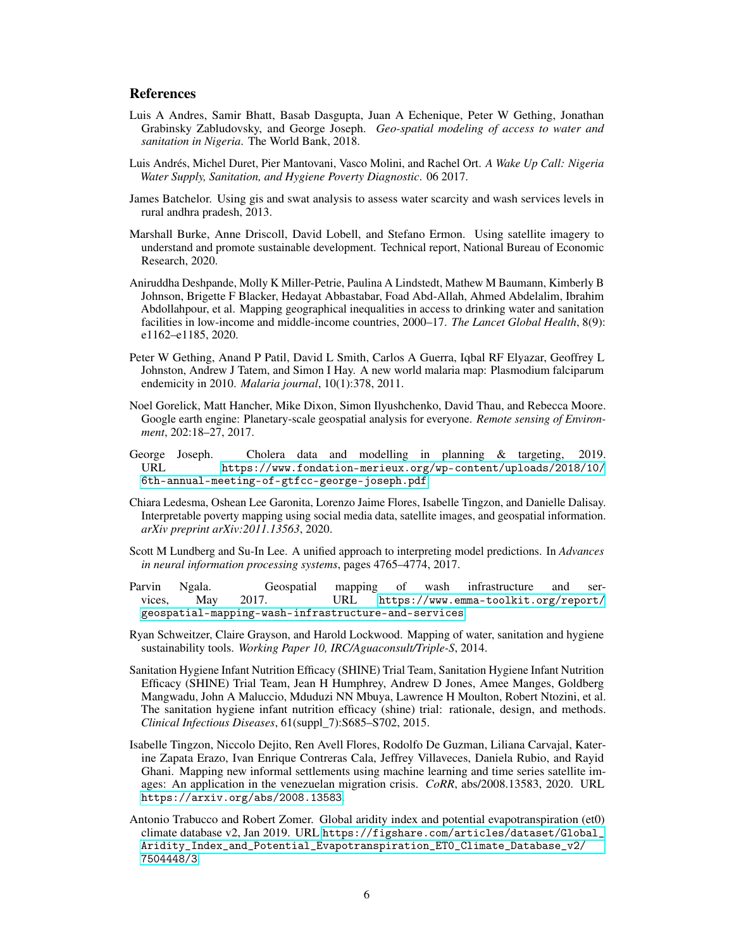#### References

- <span id="page-5-7"></span>Luis A Andres, Samir Bhatt, Basab Dasgupta, Juan A Echenique, Peter W Gething, Jonathan Grabinsky Zabludovsky, and George Joseph. *Geo-spatial modeling of access to water and sanitation in Nigeria*. The World Bank, 2018.
- <span id="page-5-4"></span>Luis Andrés, Michel Duret, Pier Mantovani, Vasco Molini, and Rachel Ort. *A Wake Up Call: Nigeria Water Supply, Sanitation, and Hygiene Poverty Diagnostic*. 06 2017.
- <span id="page-5-9"></span>James Batchelor. Using gis and swat analysis to assess water scarcity and wash services levels in rural andhra pradesh, 2013.
- <span id="page-5-5"></span>Marshall Burke, Anne Driscoll, David Lobell, and Stefano Ermon. Using satellite imagery to understand and promote sustainable development. Technical report, National Bureau of Economic Research, 2020.
- <span id="page-5-11"></span>Aniruddha Deshpande, Molly K Miller-Petrie, Paulina A Lindstedt, Mathew M Baumann, Kimberly B Johnson, Brigette F Blacker, Hedayat Abbastabar, Foad Abd-Allah, Ahmed Abdelalim, Ibrahim Abdollahpour, et al. Mapping geographical inequalities in access to drinking water and sanitation facilities in low-income and middle-income countries, 2000–17. *The Lancet Global Health*, 8(9): e1162–e1185, 2020.
- <span id="page-5-6"></span>Peter W Gething, Anand P Patil, David L Smith, Carlos A Guerra, Iqbal RF Elyazar, Geoffrey L Johnston, Andrew J Tatem, and Simon I Hay. A new world malaria map: Plasmodium falciparum endemicity in 2010. *Malaria journal*, 10(1):378, 2011.
- <span id="page-5-12"></span>Noel Gorelick, Matt Hancher, Mike Dixon, Simon Ilyushchenko, David Thau, and Rebecca Moore. Google earth engine: Planetary-scale geospatial analysis for everyone. *Remote sensing of Environment*, 202:18–27, 2017.
- <span id="page-5-2"></span>George Joseph. Cholera data and modelling in planning & targeting, 2019. URL [https://www.fondation-merieux.org/wp-content/uploads/2018/10/](https://www.fondation-merieux.org/wp-content/uploads/2018/10/6th-annual-meeting-of-gtfcc-george-joseph.pdf) [6th-annual-meeting-of-gtfcc-george-joseph.pdf](https://www.fondation-merieux.org/wp-content/uploads/2018/10/6th-annual-meeting-of-gtfcc-george-joseph.pdf).
- <span id="page-5-1"></span>Chiara Ledesma, Oshean Lee Garonita, Lorenzo Jaime Flores, Isabelle Tingzon, and Danielle Dalisay. Interpretable poverty mapping using social media data, satellite images, and geospatial information. *arXiv preprint arXiv:2011.13563*, 2020.
- <span id="page-5-14"></span>Scott M Lundberg and Su-In Lee. A unified approach to interpreting model predictions. In *Advances in neural information processing systems*, pages 4765–4774, 2017.
- <span id="page-5-8"></span>Parvin Ngala. Geospatial mapping of wash infrastructure and services, May 2017. URL [https://www.emma-toolkit.org/report/](https://www.emma-toolkit.org/report/geospatial-mapping-wash-infrastructure-and-services) [geospatial-mapping-wash-infrastructure-and-services](https://www.emma-toolkit.org/report/geospatial-mapping-wash-infrastructure-and-services).
- <span id="page-5-10"></span>Ryan Schweitzer, Claire Grayson, and Harold Lockwood. Mapping of water, sanitation and hygiene sustainability tools. *Working Paper 10, IRC/Aguaconsult/Triple-S*, 2014.
- <span id="page-5-3"></span>Sanitation Hygiene Infant Nutrition Efficacy (SHINE) Trial Team, Sanitation Hygiene Infant Nutrition Efficacy (SHINE) Trial Team, Jean H Humphrey, Andrew D Jones, Amee Manges, Goldberg Mangwadu, John A Maluccio, Mduduzi NN Mbuya, Lawrence H Moulton, Robert Ntozini, et al. The sanitation hygiene infant nutrition efficacy (shine) trial: rationale, design, and methods. *Clinical Infectious Diseases*, 61(suppl\_7):S685–S702, 2015.
- <span id="page-5-0"></span>Isabelle Tingzon, Niccolo Dejito, Ren Avell Flores, Rodolfo De Guzman, Liliana Carvajal, Katerine Zapata Erazo, Ivan Enrique Contreras Cala, Jeffrey Villaveces, Daniela Rubio, and Rayid Ghani. Mapping new informal settlements using machine learning and time series satellite images: An application in the venezuelan migration crisis. *CoRR*, abs/2008.13583, 2020. URL <https://arxiv.org/abs/2008.13583>.
- <span id="page-5-13"></span>Antonio Trabucco and Robert Zomer. Global aridity index and potential evapotranspiration (et0) climate database v2, Jan 2019. URL [https://figshare.com/articles/dataset/Global\\_](https://figshare.com/articles/dataset/Global_Aridity_Index_and_Potential_Evapotranspiration_ET0_Climate_Database_v2/7504448/3) [Aridity\\_Index\\_and\\_Potential\\_Evapotranspiration\\_ET0\\_Climate\\_Database\\_v2/](https://figshare.com/articles/dataset/Global_Aridity_Index_and_Potential_Evapotranspiration_ET0_Climate_Database_v2/7504448/3) [7504448/3](https://figshare.com/articles/dataset/Global_Aridity_Index_and_Potential_Evapotranspiration_ET0_Climate_Database_v2/7504448/3).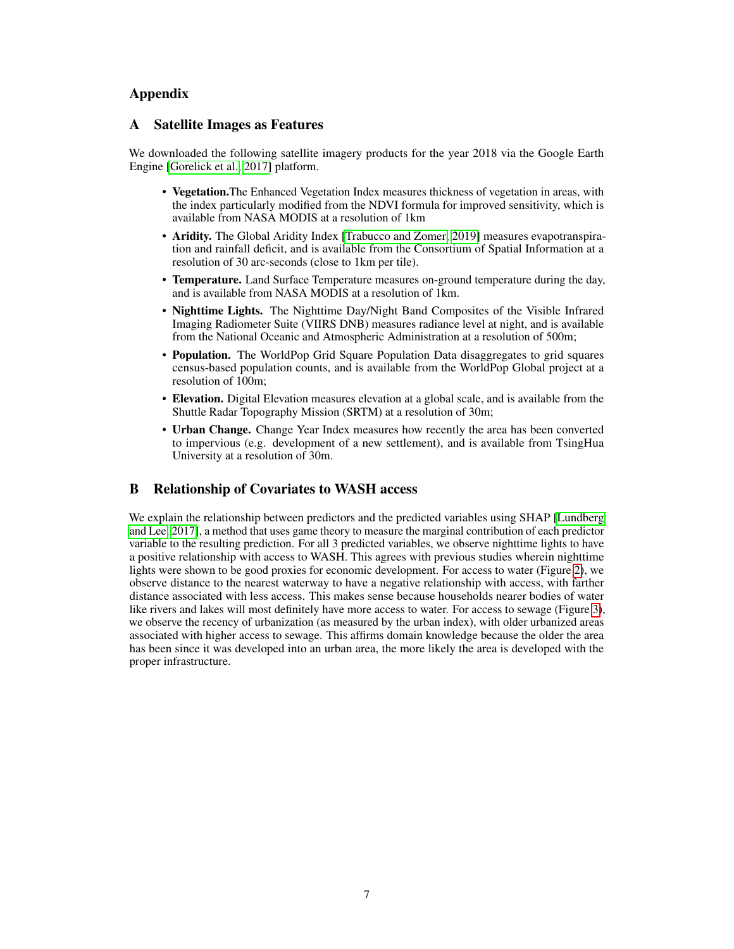# Appendix

## A Satellite Images as Features

We downloaded the following satellite imagery products for the year 2018 via the Google Earth Engine [\[Gorelick et al., 2017\]](#page-5-12) platform.

- Vegetation.The Enhanced Vegetation Index measures thickness of vegetation in areas, with the index particularly modified from the NDVI formula for improved sensitivity, which is available from NASA MODIS at a resolution of 1km
- Aridity. The Global Aridity Index [\[Trabucco and Zomer, 2019\]](#page-5-13) measures evapotranspiration and rainfall deficit, and is available from the Consortium of Spatial Information at a resolution of 30 arc-seconds (close to 1km per tile).
- Temperature. Land Surface Temperature measures on-ground temperature during the day, and is available from NASA MODIS at a resolution of 1km.
- Nighttime Lights. The Nighttime Day/Night Band Composites of the Visible Infrared Imaging Radiometer Suite (VIIRS DNB) measures radiance level at night, and is available from the National Oceanic and Atmospheric Administration at a resolution of 500m;
- Population. The WorldPop Grid Square Population Data disaggregates to grid squares census-based population counts, and is available from the WorldPop Global project at a resolution of 100m;
- Elevation. Digital Elevation measures elevation at a global scale, and is available from the Shuttle Radar Topography Mission (SRTM) at a resolution of 30m;
- Urban Change. Change Year Index measures how recently the area has been converted to impervious (e.g. development of a new settlement), and is available from TsingHua University at a resolution of 30m.

# B Relationship of Covariates to WASH access

We explain the relationship between predictors and the predicted variables using SHAP [\[Lundberg](#page-5-14) [and Lee, 2017\]](#page-5-14), a method that uses game theory to measure the marginal contribution of each predictor variable to the resulting prediction. For all 3 predicted variables, we observe nighttime lights to have a positive relationship with access to WASH. This agrees with previous studies wherein nighttime lights were shown to be good proxies for economic development. For access to water (Figure [2\)](#page-7-0), we observe distance to the nearest waterway to have a negative relationship with access, with farther distance associated with less access. This makes sense because households nearer bodies of water like rivers and lakes will most definitely have more access to water. For access to sewage (Figure [3\)](#page-7-1), we observe the recency of urbanization (as measured by the urban index), with older urbanized areas associated with higher access to sewage. This affirms domain knowledge because the older the area has been since it was developed into an urban area, the more likely the area is developed with the proper infrastructure.